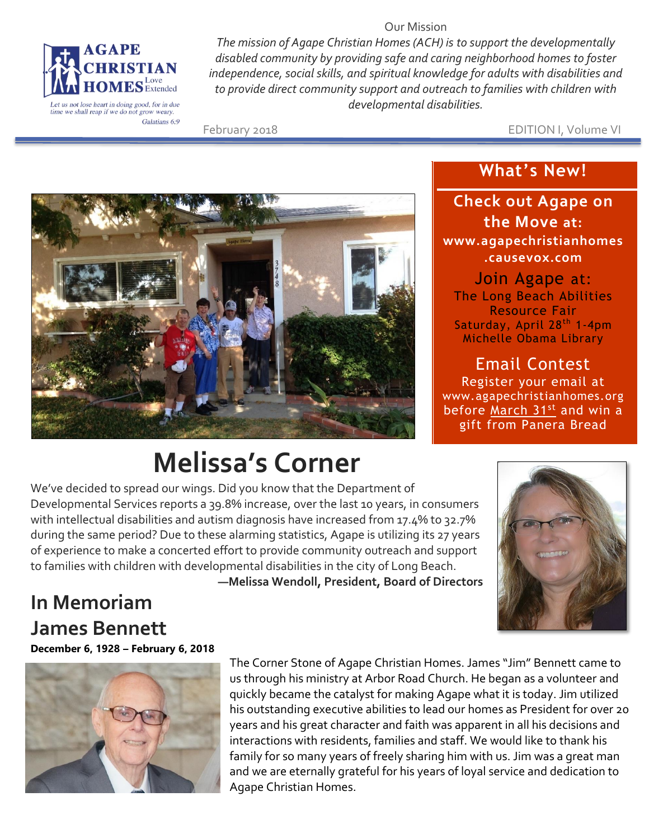

Let us not lose heart in doing good, for in due<br>time we shall reap if we do not grow weary. Galatians 6:9

*The mission of Agape Christian Homes (ACH) is to support the developmentally disabled community by providing safe and caring neighborhood homes to foster independence, social skills, and spiritual knowledge for adults with disabilities and to provide direct community support and outreach to families with children with developmental disabilities.*

Our Mission

February 2018 EDITION I, Volume VI



## **Melissa's Corner**

## **Check out Agape on**

**What's New!**

**the Move at: www.agapechristianhomes .causevox.com**

Join Agape at: The Long Beach Abilities Resource Fair Saturday, April 28<sup>th</sup> 1-4pm Michelle Obama Library

Email Contest Register your email at www.agapechristianhomes.org before March 31<sup>st</sup> and win a gift from Panera Bread

We've decided to spread our wings. Did you know that the Department of Developmental Services reports a 39.8% increase, over the last 10 years, in consumers with intellectual disabilities and autism diagnosis have increased from 17.4% to 32.7% during the same period? Due to these alarming statistics, Agape is utilizing its 27 years of experience to make a concerted effort to provide community outreach and support to families with children with developmental disabilities in the city of Long Beach.

**—Melissa Wendoll, President, Board of Directors**



## **In Memoriam James Bennett December 6, 1928 – February 6, 2018**



The Corner Stone of Agape Christian Homes. James "Jim" Bennett came to us through his ministry at Arbor Road Church. He began as a volunteer and quickly became the catalyst for making Agape what it is today. Jim utilized his outstanding executive abilities to lead our homes as President for over 20 years and his great character and faith was apparent in all his decisions and interactions with residents, families and staff. We would like to thank his family for so many years of freely sharing him with us. Jim was a great man and we are eternally grateful for his years of loyal service and dedication to Agape Christian Homes.